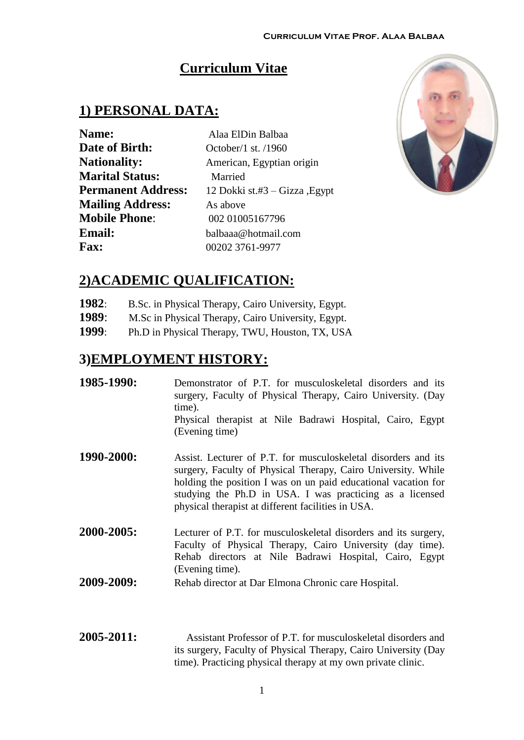## **Curriculum Vitae**

### **1) PERSONAL DATA:**

| <b>Name:</b>              | Alaa ElDin Balbaa             |
|---------------------------|-------------------------------|
| <b>Date of Birth:</b>     | October/1 st. /1960           |
| <b>Nationality:</b>       | American, Egyptian origin     |
| <b>Marital Status:</b>    | Married                       |
| <b>Permanent Address:</b> | 12 Dokki st.#3 – Gizza, Egypt |
| <b>Mailing Address:</b>   | As above                      |
| <b>Mobile Phone:</b>      | 002 01005167796               |
| <b>Email:</b>             | balbaaa@hotmail.com           |
| <b>Fax:</b>               | 00202 3761-9977               |



## **2)ACADEMIC QUALIFICATION:**

- **1982**: B.Sc. in Physical Therapy, Cairo University, Egypt.
- **1989**: M.Sc in Physical Therapy, Cairo University, Egypt.
- **1999**: Ph.D in Physical Therapy, TWU, Houston, TX, USA

### **3)EMPLOYMENT HISTORY:**

| 1985-1990: | Demonstrator of P.T. for musculoskeletal disorders and its<br>surgery, Faculty of Physical Therapy, Cairo University. (Day<br>time).<br>Physical therapist at Nile Badrawi Hospital, Cairo, Egypt<br>(Evening time)                                                                                                                                                                           |
|------------|-----------------------------------------------------------------------------------------------------------------------------------------------------------------------------------------------------------------------------------------------------------------------------------------------------------------------------------------------------------------------------------------------|
| 1990-2000: | Assist. Lecturer of P.T. for musculoskeletal disorders and its<br>surgery, Faculty of Physical Therapy, Cairo University. While<br>holding the position I was on un paid educational vacation for<br>studying the Ph.D in USA. I was practicing as a licensed<br>physical therapist at different facilities in USA.                                                                           |
| 2000-2005: | Lecturer of P.T. for musculoskeletal disorders and its surgery,<br>Faculty of Physical Therapy, Cairo University (day time).<br>Rehab directors at Nile Badrawi Hospital, Cairo, Egypt<br>(Evening time).                                                                                                                                                                                     |
| 2009-2009: | Rehab director at Dar Elmona Chronic care Hospital.                                                                                                                                                                                                                                                                                                                                           |
| SAAF SA11. | $\lambda$ , $\lambda$ , $\lambda$ , $\lambda$ , $\lambda$ , $\lambda$ , $\lambda$ , $\lambda$ , $\lambda$ , $\lambda$ , $\lambda$ , $\lambda$ , $\lambda$ , $\lambda$ , $\lambda$ , $\lambda$ , $\lambda$ , $\lambda$ , $\lambda$ , $\lambda$ , $\lambda$ , $\lambda$ , $\lambda$ , $\lambda$ , $\lambda$ , $\lambda$ , $\lambda$ , $\lambda$ , $\lambda$ , $\lambda$ , $\lambda$ , $\lambda$ |

**2005-2011:** Assistant Professor of P.T. for musculoskeletal disorders and its surgery, Faculty of Physical Therapy, Cairo University (Day time). Practicing physical therapy at my own private clinic.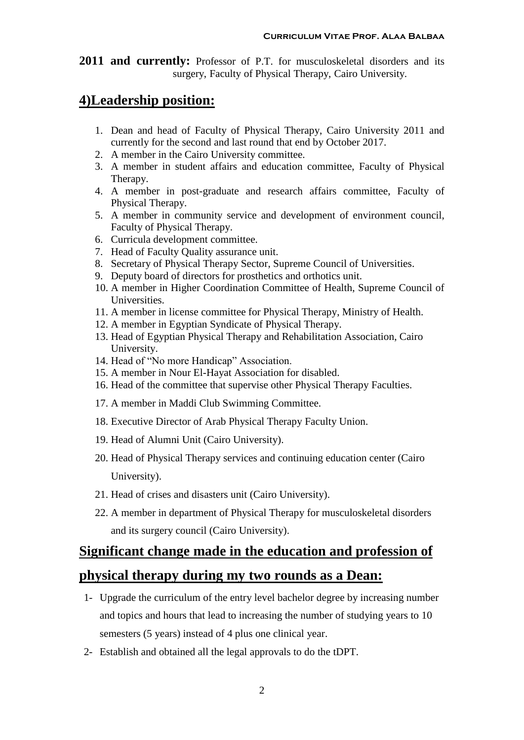**2011 and currently:** Professor of P.T. for musculoskeletal disorders and its surgery, Faculty of Physical Therapy, Cairo University.

### **4)Leadership position:**

- 1. Dean and head of Faculty of Physical Therapy, Cairo University 2011 and currently for the second and last round that end by October 2017.
- 2. A member in the Cairo University committee.
- 3. A member in student affairs and education committee, Faculty of Physical Therapy.
- 4. A member in post-graduate and research affairs committee, Faculty of Physical Therapy.
- 5. A member in community service and development of environment council, Faculty of Physical Therapy.
- 6. Curricula development committee.
- 7. Head of Faculty Quality assurance unit.
- 8. Secretary of Physical Therapy Sector, Supreme Council of Universities.
- 9. Deputy board of directors for prosthetics and orthotics unit.
- 10. A member in Higher Coordination Committee of Health, Supreme Council of Universities.
- 11. A member in license committee for Physical Therapy, Ministry of Health.
- 12. A member in Egyptian Syndicate of Physical Therapy.
- 13. Head of Egyptian Physical Therapy and Rehabilitation Association, Cairo University.
- 14. Head of "No more Handicap" Association.
- 15. A member in Nour El-Hayat Association for disabled.
- 16. Head of the committee that supervise other Physical Therapy Faculties.
- 17. A member in Maddi Club Swimming Committee.
- 18. Executive Director of Arab Physical Therapy Faculty Union.
- 19. Head of Alumni Unit (Cairo University).
- 20. Head of Physical Therapy services and continuing education center (Cairo University).
- 21. Head of crises and disasters unit (Cairo University).
- 22. A member in department of Physical Therapy for musculoskeletal disorders and its surgery council (Cairo University).

# **Significant change made in the education and profession of physical therapy during my two rounds as a Dean:**

- 1- Upgrade the curriculum of the entry level bachelor degree by increasing number and topics and hours that lead to increasing the number of studying years to 10 semesters (5 years) instead of 4 plus one clinical year.
- 2- Establish and obtained all the legal approvals to do the tDPT.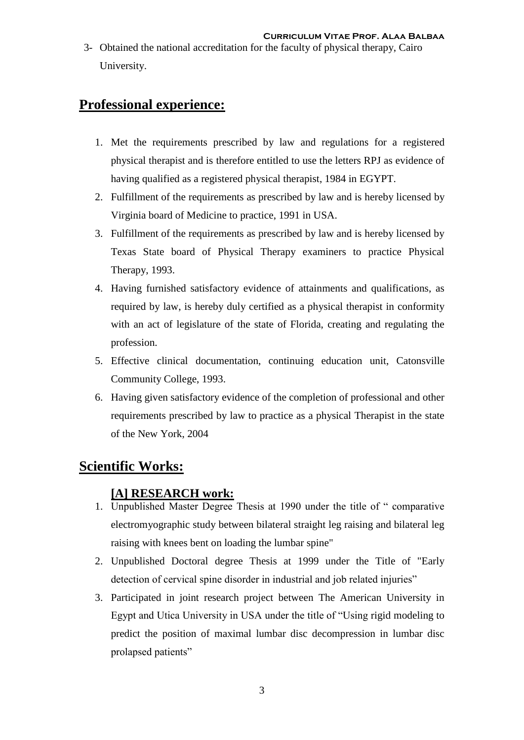3- Obtained the national accreditation for the faculty of physical therapy, Cairo University.

## **Professional experience:**

- 1. Met the requirements prescribed by law and regulations for a registered physical therapist and is therefore entitled to use the letters RPJ as evidence of having qualified as a registered physical therapist, 1984 in EGYPT.
- 2. Fulfillment of the requirements as prescribed by law and is hereby licensed by Virginia board of Medicine to practice, 1991 in USA.
- 3. Fulfillment of the requirements as prescribed by law and is hereby licensed by Texas State board of Physical Therapy examiners to practice Physical Therapy, 1993.
- 4. Having furnished satisfactory evidence of attainments and qualifications, as required by law, is hereby duly certified as a physical therapist in conformity with an act of legislature of the state of Florida, creating and regulating the profession.
- 5. Effective clinical documentation, continuing education unit, Catonsville Community College, 1993.
- 6. Having given satisfactory evidence of the completion of professional and other requirements prescribed by law to practice as a physical Therapist in the state of the New York, 2004

## **Scientific Works:**

### **[A] RESEARCH work:**

- 1. Unpublished Master Degree Thesis at 1990 under the title of " comparative electromyographic study between bilateral straight leg raising and bilateral leg raising with knees bent on loading the lumbar spine"
- 2. Unpublished Doctoral degree Thesis at 1999 under the Title of "Early detection of cervical spine disorder in industrial and job related injuries"
- 3. Participated in joint research project between The American University in Egypt and Utica University in USA under the title of "Using rigid modeling to predict the position of maximal lumbar disc decompression in lumbar disc prolapsed patients"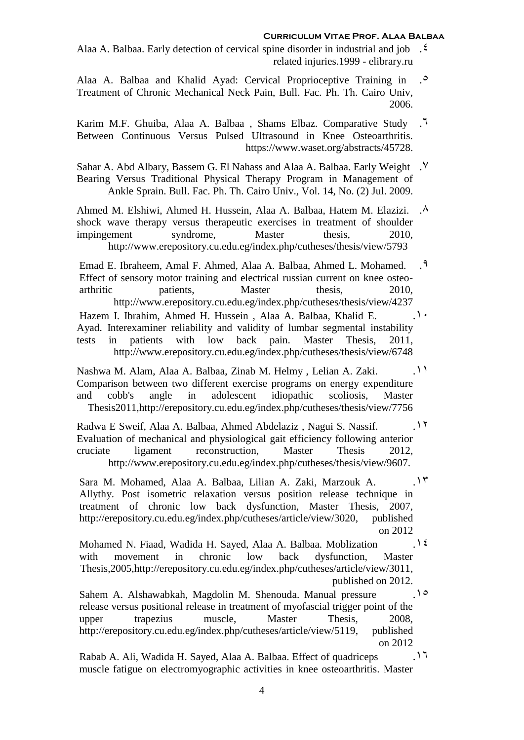#### **Curriculum Vitae Prof. Alaa Balbaa**

- Alaa A. Balbaa. Early detection of cervical spine disorder in industrial and job .4 related injuries.1999 - elibrary.ru
- Alaa A. Balbaa and Khalid Ayad: Cervical Proprioceptive Training in .<sup>0</sup> Treatment of Chronic Mechanical Neck Pain, Bull. Fac. Ph. Th. Cairo Univ, 2006.
- Karim M.F. Ghuiba, Alaa A. Balbaa , Shams Elbaz. Comparative Study .6 Between Continuous Versus Pulsed Ultrasound in Knee Osteoarthritis. [https://www.waset.org/abstracts/45728.](https://www.waset.org/abstracts/45728)
- Sahar A. Abd Albary, Bassem G. El Nahass and Alaa A. Balbaa. Early Weight .7 Bearing Versus Traditional Physical Therapy Program in Management of Ankle Sprain. Bull. Fac. Ph. Th. Cairo Univ., Vol. 14, No. (2) Jul. 2009.
- Ahmed M. Elshiwi, Ahmed H. Hussein, Alaa A. Balbaa, Hatem M. Elazizi. . . ^ shock wave therapy versus therapeutic exercises in treatment of shoulder impingement syndrome, Master thesis, 2010, http://www.erepository.cu.edu.eg/index.php/cutheses/thesis/view/5793
- Emad E. Ibraheem, Amal F. Ahmed, Alaa A. Balbaa, Ahmed L. Mohamed. .9 Effect of sensory motor training and electrical russian current on knee osteoarthritic patients, Master thesis, 2010, http://www.erepository.cu.edu.eg/index.php/cutheses/thesis/view/4237
- Hazem I. Ibrahim, Ahmed H. Hussein , Alaa A. Balbaa, Khalid E. .10 Ayad. Interexaminer reliability and validity of lumbar segmental instability tests in patients with low back pain. Master Thesis, 2011, <http://www.erepository.cu.edu.eg/index.php/cutheses/thesis/view/6748>
- Nashwa M. Alam, Alaa A. Balbaa, Zinab M. Helmy , Lelian A. Zaki. .11 Comparison between two different exercise programs on energy expenditure and cobb's angle in adolescent idiopathic scoliosis, Master Thesis2011,http://erepository.cu.edu.eg/index.php/cutheses/thesis/view/7756
- Radwa E Sweif, Alaa A. Balbaa, Ahmed Abdelaziz , Nagui S. Nassif. .12 Evaluation of mechanical and physiological gait efficiency following anterior cruciate ligament reconstruction, Master Thesis 2012, [http://www.erepository.cu.edu.eg/index.php/cutheses/thesis/view/9607.](http://www.erepository.cu.edu.eg/index.php/cutheses/thesis/view/9607)
- Sara M. Mohamed, Alaa A. Balbaa, Lilian A. Zaki, Marzouk A. .13 Allythy. Post isometric relaxation versus position release technique in treatment of chronic low back dysfunction, Master Thesis, 2007, [http://erepository.cu.edu.eg/index.php/cutheses/article/view/3020,](http://erepository.cu.edu.eg/index.php/cutheses/article/view/3020) published on 2012
- Mohamed N. Fiaad, Wadida H. Sayed, Alaa A. Balbaa. Moblization .<sup>12</sup> with movement in chronic low back dysfunction, Master Thesis,2005[,http://erepository.cu.edu.eg/index.php/cutheses/article/view/3011,](http://erepository.cu.edu.eg/index.php/cutheses/article/view/3011) published on 2012.
- Sahem A. Alshawabkah, Magdolin M. Shenouda. Manual pressure .10 release versus positional release in treatment of myofascial trigger point of the upper trapezius muscle, Master Thesis, 2008, [http://erepository.cu.edu.eg/index.php/cutheses/article/view/5119,](http://erepository.cu.edu.eg/index.php/cutheses/article/view/5119) published on 2012
- Rabab A. Ali, Wadida H. Sayed, Alaa A. Balbaa. Effect of quadriceps .16 muscle fatigue on electromyographic activities in knee osteoarthritis. Master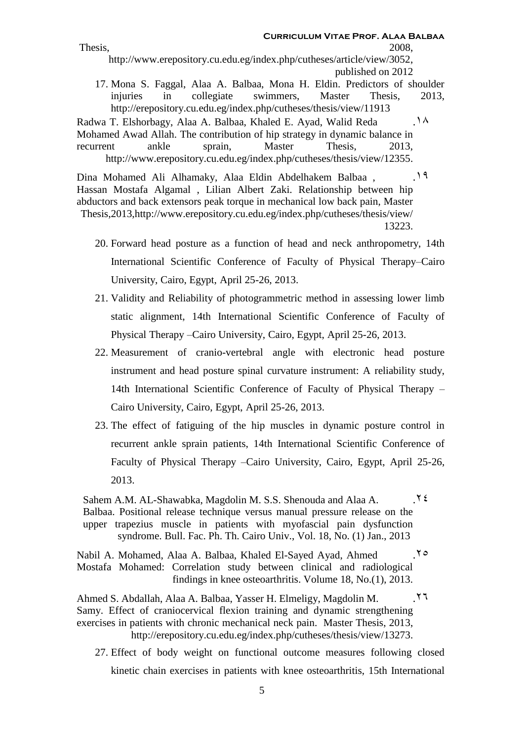**Curriculum Vitae Prof. Alaa Balbaa** Thesis, 2008, [http://www.erepository.cu.edu.eg/index.php/cutheses/article/view/3052,](http://www.erepository.cu.edu.eg/index.php/cutheses/article/view/3052) published on 2012 17. Mona S. Faggal, Alaa A. Balbaa, Mona H. Eldin. Predictors of shoulder

injuries in collegiate swimmers, Master Thesis, 2013, http://erepository.cu.edu.eg/index.php/cutheses/thesis/view/11913

Radwa T. Elshorbagy, Alaa A. Balbaa, Khaled E. Ayad, Walid Reda .<sup>14</sup> Mohamed Awad Allah. The contribution of hip strategy in dynamic balance in recurrent ankle sprain, Master Thesis, 2013, [http://www.erepository.cu.edu.eg/index.php/cutheses/thesis/view/12355.](http://www.erepository.cu.edu.eg/index.php/cutheses/thesis/view/12355)

Dina Mohamed Ali Alhamaky, Alaa Eldin Abdelhakem Balbaa, 19 Hassan Mostafa Algamal , Lilian Albert Zaki. Relationship between hip abductors and back extensors peak torque in mechanical low back pain, Master [Thesis,2013,http://www.erepository.cu.edu.eg/index.php/cutheses/thesis/view/](http://www.erepository.cu.edu.eg/index.php/cutheses/thesis/view/13223) [13223.](http://www.erepository.cu.edu.eg/index.php/cutheses/thesis/view/13223)

- 20. Forward head posture as a function of head and neck anthropometry, 14th International Scientific Conference of Faculty of Physical Therapy–Cairo University, Cairo, Egypt, April 25-26, 2013.
- 21. Validity and Reliability of photogrammetric method in assessing lower limb static alignment, 14th International Scientific Conference of Faculty of Physical Therapy –Cairo University, Cairo, Egypt, April 25-26, 2013.
- 22. Measurement of cranio-vertebral angle with electronic head posture instrument and head posture spinal curvature instrument: A reliability study, 14th International Scientific Conference of Faculty of Physical Therapy – Cairo University, Cairo, Egypt, April 25-26, 2013.
- 23. The effect of fatiguing of the hip muscles in dynamic posture control in recurrent ankle sprain patients, 14th International Scientific Conference of Faculty of Physical Therapy –Cairo University, Cairo, Egypt, April 25-26, 2013.

Sahem A.M. AL-Shawabka, Magdolin M. S.S. Shenouda and Alaa A.  $\cdot$ [Balbaa. Positional release technique versus manual pressure release on the](http://erepository.cu.edu.eg/index.php/BFPTH/article/view/527)  [upper trapezius muscle in patients with myofascial pain dysfunction](http://erepository.cu.edu.eg/index.php/BFPTH/article/view/527)  [syndrome. Bull. Fac. Ph. Th. Cairo Univ., Vol. 18, No. \(1\) Jan., 2013](http://erepository.cu.edu.eg/index.php/BFPTH/article/view/527) 

Nabil A. Mohamed, Alaa A. Balbaa, Khaled El-Sayed Ayad, Ahmed .25 Mostafa Mohamed: Correlation study between clinical and radiological findings in knee osteoarthritis. Volume 18, No.(1), 2013.

Ahmed S. Abdallah, Alaa A. Balbaa, Yasser H. Elmeligy, Magdolin M. .26 Samy. Effect of craniocervical flexion training and dynamic strengthening exercises in patients with chronic mechanical neck pain. Master Thesis, 2013, [http://erepository.cu.edu.eg/index.php/cutheses/thesis/view/13273.](http://erepository.cu.edu.eg/index.php/cutheses/thesis/view/13273)

27. Effect of body weight on functional outcome measures following closed kinetic chain exercises in patients with knee osteoarthritis, 15th International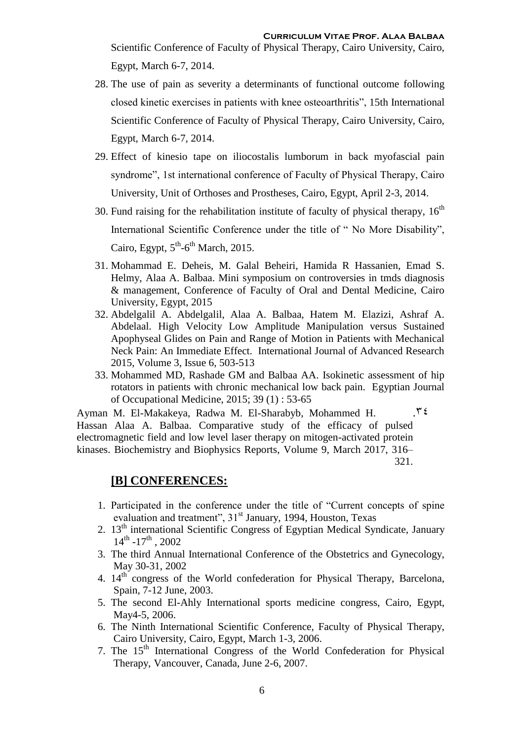Scientific Conference of Faculty of Physical Therapy, Cairo University, Cairo, Egypt, March 6-7, 2014.

- 28. The use of pain as severity a determinants of functional outcome following closed kinetic exercises in patients with knee osteoarthritis", 15th International Scientific Conference of Faculty of Physical Therapy, Cairo University, Cairo, Egypt, March 6-7, 2014.
- 29. Effect of kinesio tape on iliocostalis lumborum in back myofascial pain syndrome", 1st international conference of Faculty of Physical Therapy, Cairo University, Unit of Orthoses and Prostheses, Cairo, Egypt, April 2-3, 2014.
- 30. Fund raising for the rehabilitation institute of faculty of physical therapy,  $16<sup>th</sup>$ International Scientific Conference under the title of " No More Disability", Cairo, Egypt,  $5<sup>th</sup>$ -6<sup>th</sup> March, 2015.
- 31. Mohammad E. Deheis, M. Galal Beheiri, Hamida R Hassanien, Emad S. Helmy, Alaa A. Balbaa. Mini symposium on controversies in tmds diagnosis & management, Conference of Faculty of Oral and Dental Medicine, Cairo University, Egypt, 2015
- 32. Abdelgalil A. Abdelgalil, Alaa A. Balbaa, Hatem M. Elazizi, Ashraf A. Abdelaal. High Velocity Low Amplitude Manipulation versus Sustained Apophyseal Glides on Pain and Range of Motion in Patients with Mechanical Neck Pain: An Immediate Effect. International Journal of Advanced Research 2015, Volume 3, Issue 6, 503-513
- 33. Mohammed MD, Rashade GM and Balbaa AA. Isokinetic assessment of hip rotators in patients with chronic mechanical low back pain. Egyptian Journal of Occupational Medicine, 2015; 39 (1) : 53-65

Ayman M. El-Makakeya, Radwa M. El-Sharabyb, Mohammed H.  $\cdot$   $\cdot$   $\cdot$   $\cdot$ Hassan Alaa A. Balbaa. Comparative study of the efficacy of pulsed electromagnetic field and low level laser therapy on mitogen-activated protein kinases. Biochemistry and Biophysics Reports, [Volume 9,](http://www.sciencedirect.com/science/journal/24055808/9/supp/C) March 2017, 316– 321.

#### **[B] CONFERENCES:**

- 1. Participated in the conference under the title of "Current concepts of spine evaluation and treatment", 31<sup>st</sup> January, 1994, Houston, Texas
- 2.  $13<sup>th</sup>$  international Scientific Congress of Egyptian Medical Syndicate, January  $14^{\text{th}}$  -17<sup>th</sup>, 2002
- 3. The third Annual International Conference of the Obstetrics and Gynecology, May 30-31, 2002
- 4. 14<sup>th</sup> congress of the World confederation for Physical Therapy, Barcelona, Spain, 7-12 June, 2003.
- 5. The second El-Ahly International sports medicine congress, Cairo, Egypt, May4-5, 2006.
- 6. The Ninth International Scientific Conference, Faculty of Physical Therapy, Cairo University, Cairo, Egypt, March 1-3, 2006.
- 7. The 15<sup>th</sup> International Congress of the World Confederation for Physical Therapy, Vancouver, Canada, June 2-6, 2007.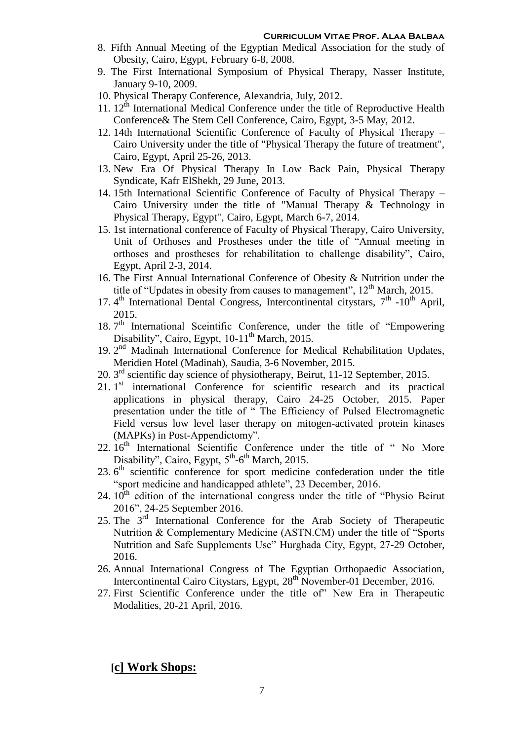- 8. Fifth Annual Meeting of the Egyptian Medical Association for the study of Obesity, Cairo, Egypt, February 6-8, 2008.
- 9. The First International Symposium of Physical Therapy, Nasser Institute, January 9-10, 2009.
- 10. Physical Therapy Conference, Alexandria, July, 2012.
- 11.  $12<sup>th</sup>$  International Medical Conference under the title of Reproductive Health Conference& The Stem Cell Conference, Cairo, Egypt, 3-5 May, 2012.
- 12. 14th International Scientific Conference of Faculty of Physical Therapy Cairo University under the title of "Physical Therapy the future of treatment", Cairo, Egypt, April 25-26, 2013.
- 13. New Era Of Physical Therapy In Low Back Pain, Physical Therapy Syndicate, Kafr ElShekh, 29 June, 2013.
- 14. 15th International Scientific Conference of Faculty of Physical Therapy Cairo University under the title of "Manual Therapy & Technology in Physical Therapy, Egypt", Cairo, Egypt, March 6-7, 2014.
- 15. 1st international conference of Faculty of Physical Therapy, Cairo University, Unit of Orthoses and Prostheses under the title of "Annual meeting in orthoses and prostheses for rehabilitation to challenge disability", Cairo, Egypt, April 2-3, 2014.
- 16. The First Annual International Conference of Obesity & Nutrition under the title of "Updates in obesity from causes to management",  $12<sup>th</sup>$  March, 2015.
- 17. 4<sup>th</sup> International Dental Congress, Intercontinental citystars, 7<sup>th</sup> -10<sup>th</sup> April, 2015.
- 18. 7<sup>th</sup> International Sceintific Conference, under the title of "Empowering Disability", Cairo, Egypt,  $10-11^{\text{th}}$  March, 2015.
- 19. 2<sup>nd</sup> Madinah International Conference for Medical Rehabilitation Updates, Meridien Hotel (Madinah), Saudia, 3-6 November, 2015.
- 20. 3<sup>rd</sup> scientific day science of physiotherapy, Beirut, 11-12 September, 2015.
- 21. 1<sup>st</sup> international Conference for scientific research and its practical applications in physical therapy, Cairo 24-25 October, 2015. Paper presentation under the title of " The Efficiency of Pulsed Electromagnetic Field versus low level laser therapy on mitogen-activated protein kinases (MAPKs) in Post-Appendictomy".
- 22. 16<sup>th</sup> International Scientific Conference under the title of "No More Disability", Cairo, Egypt,  $5<sup>th</sup>$ -6<sup>th</sup> March, 2015.
- 23. 6<sup>th</sup> scientific conference for sport medicine confederation under the title "sport medicine and handicapped athlete", 23 December, 2016.
- $24.10<sup>th</sup>$  edition of the international congress under the title of "Physio Beirut" 2016", 24-25 September 2016.
- 25. The 3rd International Conference for the Arab Society of Therapeutic Nutrition & Complementary Medicine (ASTN.CM) under the title of "Sports Nutrition and Safe Supplements Use" Hurghada City, Egypt, 27-29 October, 2016.
- 26. Annual International Congress of The Egyptian Orthopaedic Association, Intercontinental Cairo Citystars, Egypt, 28<sup>th</sup> November-01 December, 2016.
- 27. First Scientific Conference under the title of" New Era in Therapeutic Modalities, 20-21 April, 2016.

**[c] Work Shops:**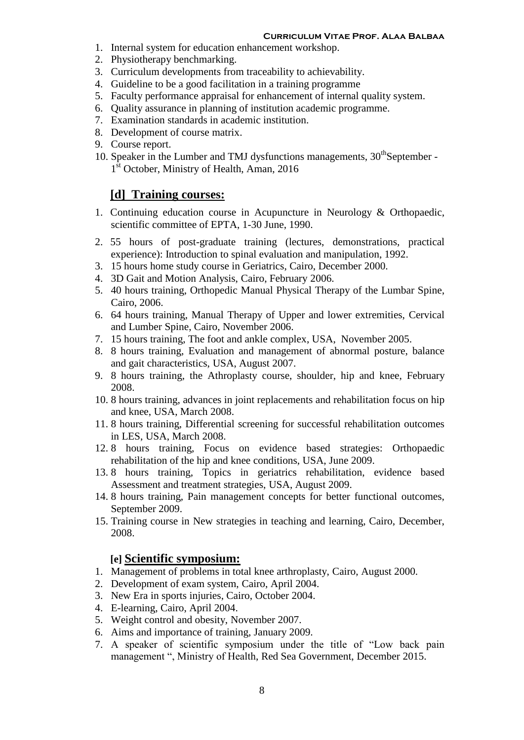- 1. Internal system for education enhancement workshop.
- 2. Physiotherapy benchmarking.
- 3. Curriculum developments from traceability to achievability.
- 4. Guideline to be a good facilitation in a training programme
- 5. Faculty performance appraisal for enhancement of internal quality system.
- 6. Quality assurance in planning of institution academic programme.
- 7. Examination standards in academic institution.
- 8. Development of course matrix.
- 9. Course report.
- 10. Speaker in the Lumber and TMJ dysfunctions managements,  $30<sup>th</sup>$ September -1<sup>st</sup> October, Ministry of Health, Aman, 2016

#### **[d] Training courses:**

- 1. Continuing education course in Acupuncture in Neurology & Orthopaedic, scientific committee of EPTA, 1-30 June, 1990.
- 2. 55 hours of post-graduate training (lectures, demonstrations, practical experience): Introduction to spinal evaluation and manipulation, 1992.
- 3. 15 hours home study course in Geriatrics, Cairo, December 2000.
- 4. 3D Gait and Motion Analysis, Cairo, February 2006.
- 5. 40 hours training, Orthopedic Manual Physical Therapy of the Lumbar Spine, Cairo, 2006.
- 6. 64 hours training, Manual Therapy of Upper and lower extremities, Cervical and Lumber Spine, Cairo, November 2006.
- 7. 15 hours training, The foot and ankle complex, USA, November 2005.
- 8. 8 hours training, Evaluation and management of abnormal posture, balance and gait characteristics, USA, August 2007.
- 9. 8 hours training, the Athroplasty course, shoulder, hip and knee, February 2008.
- 10. 8 hours training, advances in joint replacements and rehabilitation focus on hip and knee, USA, March 2008.
- 11. 8 hours training, Differential screening for successful rehabilitation outcomes in LES, USA, March 2008.
- 12. 8 hours training, Focus on evidence based strategies: Orthopaedic rehabilitation of the hip and knee conditions, USA, June 2009.
- 13. 8 hours training, Topics in geriatrics rehabilitation, evidence based Assessment and treatment strategies, USA, August 2009.
- 14. 8 hours training, Pain management concepts for better functional outcomes, September 2009.
- 15. Training course in New strategies in teaching and learning, Cairo, December, 2008.

#### **[e] Scientific symposium:**

- 1. Management of problems in total knee arthroplasty, Cairo, August 2000.
- 2. Development of exam system, Cairo, April 2004.
- 3. New Era in sports injuries, Cairo, October 2004.
- 4. E-learning, Cairo, April 2004.
- 5. Weight control and obesity, November 2007.
- 6. Aims and importance of training, January 2009.
- 7. A speaker of scientific symposium under the title of "Low back pain management ", Ministry of Health, Red Sea Government, December 2015.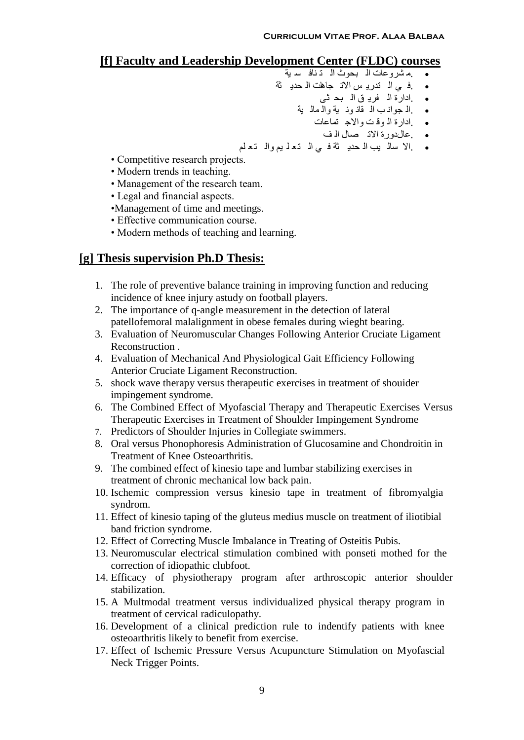### **[f] Faculty and Leadership Development Center (FLDC) courses**

- .م شروعاث ال بحود ال خ ناف س يت
- ف ي ال تدريـ س الاتـ جاهلت الـ حديـ ثة.
	- .ادارة ال فري ق ال بح ثى
	- .ال جوان ب ال قان ون يت وال مال يت
		- .ادارة ال وق ج واالج خماعاث
			- .عالدورة االح صال ال ف
- .اال سال يب ال حدي ثت ف ي ال خع ل يم وال خع لم
- Competitive research projects.
- Modern trends in teaching.
- Management of the research team.
- Legal and financial aspects.
- •Management of time and meetings.
- Effective communication course.
- Modern methods of teaching and learning.

### **[g] Thesis supervision Ph.D Thesis:**

- 1. The role of preventive balance training in improving function and reducing incidence of knee injury astudy on football players.
- 2. The importance of q-angle measurement in the detection of lateral patellofemoral malalignment in obese females during wieght bearing.
- 3. Evaluation of Neuromuscular Changes Following Anterior Cruciate Ligament Reconstruction .
- 4. Evaluation of Mechanical And Physiological Gait Efficiency Following Anterior Cruciate Ligament Reconstruction.
- 5. shock wave therapy versus therapeutic exercises in treatment of shouider impingement syndrome.
- 6. The Combined Effect of Myofascial Therapy and Therapeutic Exercises Versus Therapeutic Exercises in Treatment of Shoulder Impingement Syndrome
- 7. Predictors of Shoulder Injuries in Collegiate swimmers.
- 8. Oral versus Phonophoresis Administration of Glucosamine and Chondroitin in Treatment of Knee Osteoarthritis.
- 9. The combined effect of kinesio tape and lumbar stabilizing exercises in treatment of chronic mechanical low back pain.
- 10. Ischemic compression versus kinesio tape in treatment of fibromyalgia syndrom.
- 11. Effect of kinesio taping of the gluteus medius muscle on treatment of iliotibial band friction syndrome.
- 12. Effect of Correcting Muscle Imbalance in Treating of Osteitis Pubis.
- 13. Neuromuscular electrical stimulation combined with ponseti mothed for the correction of idiopathic clubfoot.
- 14. Efficacy of physiotherapy program after arthroscopic anterior shoulder stabilization.
- 15. A Multmodal treatment versus individualized physical therapy program in treatment of cervical radiculopathy.
- 16. Development of a clinical prediction rule to indentify patients with knee osteoarthritis likely to benefit from exercise.
- 17. Effect of Ischemic Pressure Versus Acupuncture Stimulation on Myofascial Neck Trigger Points.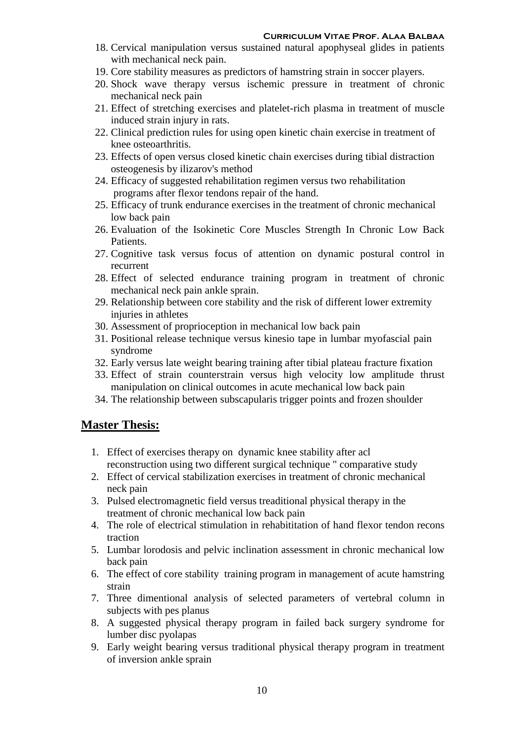- 18. Cervical manipulation versus sustained natural apophyseal glides in patients with mechanical neck pain.
- 19. Core stability measures as predictors of hamstring strain in soccer players.
- 20. Shock wave therapy versus ischemic pressure in treatment of chronic mechanical neck pain
- 21. Effect of stretching exercises and platelet-rich plasma in treatment of muscle induced strain injury in rats.
- 22. Clinical prediction rules for using open kinetic chain exercise in treatment of knee osteoarthritis.
- 23. Effects of open versus closed kinetic chain exercises during tibial distraction osteogenesis by ilizarov's method
- 24. Efficacy of suggested rehabilitation regimen versus two rehabilitation programs after flexor tendons repair of the hand.
- 25. Efficacy of trunk endurance exercises in the treatment of chronic mechanical low back pain
- 26. Evaluation of the Isokinetic Core Muscles Strength In Chronic Low Back Patients.
- 27. Cognitive task versus focus of attention on dynamic postural control in recurrent
- 28. Effect of selected endurance training program in treatment of chronic mechanical neck pain ankle sprain.
- 29. Relationship between core stability and the risk of different lower extremity injuries in athletes
- 30. Assessment of proprioception in mechanical low back pain
- 31. Positional release technique versus kinesio tape in lumbar myofascial pain syndrome
- 32. Early versus late weight bearing training after tibial plateau fracture fixation
- 33. Effect of strain counterstrain versus high velocity low amplitude thrust manipulation on clinical outcomes in acute mechanical low back pain
- 34. The relationship between subscapularis trigger points and frozen shoulder

#### **Master Thesis:**

- 1. Effect of exercises therapy on dynamic knee stability after acl reconstruction using two different surgical technique " comparative study
- 2. Effect of cervical stabilization exercises in treatment of chronic mechanical neck pain
- 3. Pulsed electromagnetic field versus treaditional physical therapy in the treatment of chronic mechanical low back pain
- 4. The role of electrical stimulation in rehabititation of hand flexor tendon recons traction
- 5. Lumbar lorodosis and pelvic inclination assessment in chronic mechanical low back pain
- 6. The effect of core stability training program in management of acute hamstring strain
- 7. Three dimentional analysis of selected parameters of vertebral column in subjects with pes planus
- 8. A suggested physical therapy program in failed back surgery syndrome for lumber disc pyolapas
- 9. Early weight bearing versus traditional physical therapy program in treatment of inversion ankle sprain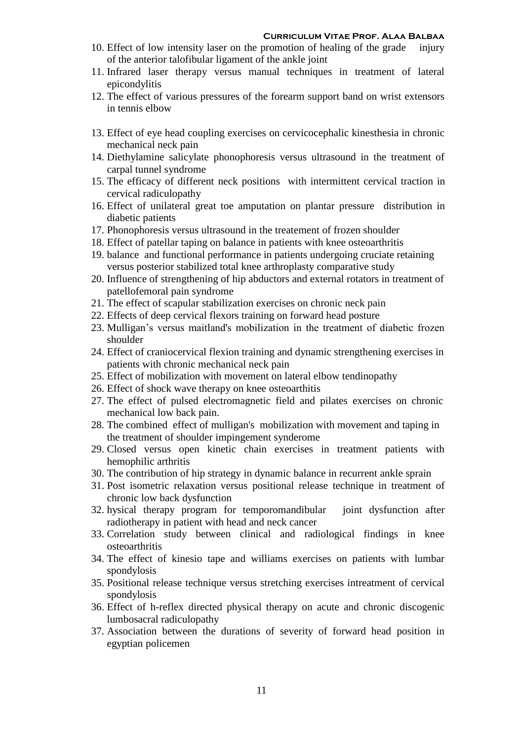- 10. Effect of low intensity laser on the promotion of healing of the grade injury of the anterior talofibular ligament of the ankle joint
- 11. Infrared laser therapy versus manual techniques in treatment of lateral epicondylitis
- 12. The effect of various pressures of the forearm support band on wrist extensors in tennis elbow
- 13. Effect of eye head coupling exercises on cervicocephalic kinesthesia in chronic mechanical neck pain
- 14. Diethylamine salicylate phonophoresis versus ultrasound in the treatment of carpal tunnel syndrome
- 15. The efficacy of different neck positions with intermittent cervical traction in cervical radiculopathy
- 16. Effect of unilateral great toe amputation on plantar pressure distribution in diabetic patients
- 17. Phonophoresis versus ultrasound in the treatement of frozen shoulder
- 18. Effect of patellar taping on balance in patients with knee osteoarthritis
- 19. balance and functional performance in patients undergoing cruciate retaining versus posterior stabilized total knee arthroplasty comparative study
- 20. Influence of strengthening of hip abductors and external rotators in treatment of patellofemoral pain syndrome
- 21. The effect of scapular stabilization exercises on chronic neck pain
- 22. Effects of deep cervical flexors training on forward head posture
- 23. Mulligan's versus maitland's mobilization in the treatment of diabetic frozen shoulder
- 24. Effect of craniocervical flexion training and dynamic strengthening exercises in patients with chronic mechanical neck pain
- 25. Effect of mobilization with movement on lateral elbow tendinopathy
- 26. Effect of shock wave therapy on knee osteoarthitis
- 27. The effect of pulsed electromagnetic field and pilates exercises on chronic mechanical low back pain.
- 28. The combined effect of mulligan's mobilization with movement and taping in the treatment of shoulder impingement synderome
- 29. Closed versus open kinetic chain exercises in treatment patients with hemophilic arthritis
- 30. The contribution of hip strategy in dynamic balance in recurrent ankle sprain
- 31. Post isometric relaxation versus positional release technique in treatment of chronic low back dysfunction
- 32. hysical therapy program for temporomandibular joint dysfunction after radiotherapy in patient with head and neck cancer
- 33. Correlation study between clinical and radiological findings in knee osteoarthritis
- 34. The effect of kinesio tape and williams exercises on patients with lumbar spondylosis
- 35. Positional release technique versus stretching exercises intreatment of cervical spondylosis
- 36. Effect of h-reflex directed physical therapy on acute and chronic discogenic lumbosacral radiculopathy
- 37. Association between the durations of severity of forward head position in egyptian policemen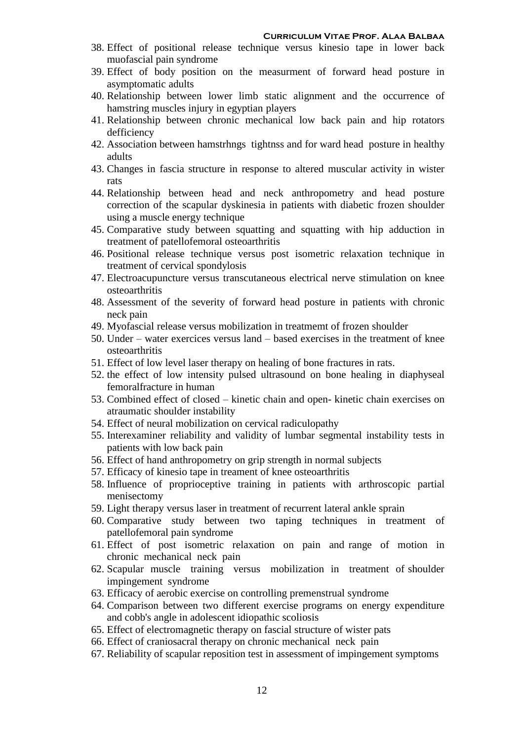- 38. Effect of positional release technique versus kinesio tape in lower back muofascial pain syndrome
- 39. Effect of body position on the measurment of forward head posture in asymptomatic adults
- 40. Relationship between lower limb static alignment and the occurrence of hamstring muscles injury in egyptian players
- 41. Relationship between chronic mechanical low back pain and hip rotators defficiency
- 42. Association between hamstrhngs tightnss and for ward head posture in healthy adults
- 43. Changes in fascia structure in response to altered muscular activity in wister rats
- 44. Relationship between head and neck anthropometry and head posture correction of the scapular dyskinesia in patients with diabetic frozen shoulder using a muscle energy technique
- 45. Comparative study between squatting and squatting with hip adduction in treatment of patellofemoral osteoarthritis
- 46. Positional release technique versus post isometric relaxation technique in treatment of cervical spondylosis
- 47. Electroacupuncture versus transcutaneous electrical nerve stimulation on knee osteoarthritis
- 48. Assessment of the severity of forward head posture in patients with chronic neck pain
- 49. Myofascial release versus mobilization in treatmemt of frozen shoulder
- 50. Under water exercices versus land based exercises in the treatment of knee osteoarthritis
- 51. Effect of low level laser therapy on healing of bone fractures in rats.
- 52. the effect of low intensity pulsed ultrasound on bone healing in diaphyseal femoralfracture in human
- 53. Combined effect of closed kinetic chain and open- kinetic chain exercises on atraumatic shoulder instability
- 54. Effect of neural mobilization on cervical radiculopathy
- 55. Interexaminer reliability and validity of lumbar segmental instability tests in patients with low back pain
- 56. Effect of hand anthropometry on grip strength in normal subjects
- 57. Efficacy of kinesio tape in treament of knee osteoarthritis
- 58. Influence of proprioceptive training in patients with arthroscopic partial menisectomy
- 59. Light therapy versus laser in treatment of recurrent lateral ankle sprain
- 60. Comparative study between two taping techniques in treatment of patellofemoral pain syndrome
- 61. Effect of post isometric relaxation on pain and range of motion in chronic mechanical neck pain
- 62. Scapular muscle training versus mobilization in treatment of shoulder impingement syndrome
- 63. Efficacy of aerobic exercise on controlling premenstrual syndrome
- 64. Comparison between two different exercise programs on energy expenditure and cobb's angle in adolescent idiopathic scoliosis
- 65. Effect of electromagnetic therapy on fascial structure of wister pats
- 66. Effect of craniosacral therapy on chronic mechanical neck pain
- 67. Reliability of scapular reposition test in assessment of impingement symptoms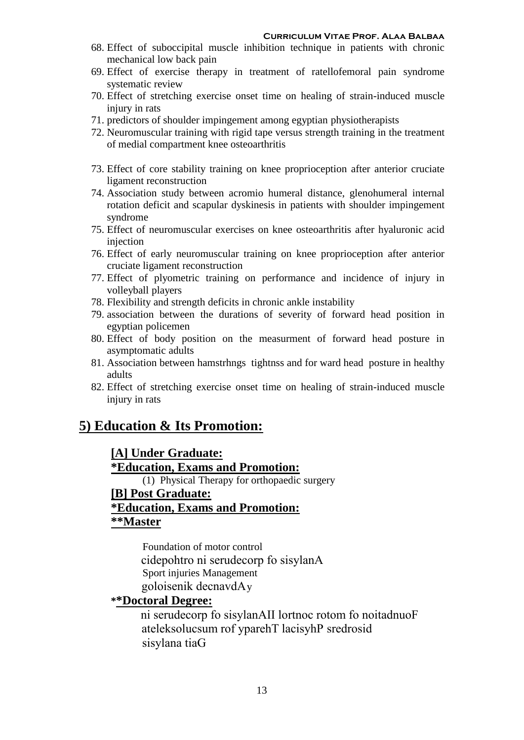- 68. Effect of suboccipital muscle inhibition technique in patients with chronic mechanical low back pain
- 69. Effect of exercise therapy in treatment of ratellofemoral pain syndrome systematic review
- 70. Effect of stretching exercise onset time on healing of strain-induced muscle injury in rats
- 71. predictors of shoulder impingement among egyptian physiotherapists
- 72. Neuromuscular training with rigid tape versus strength training in the treatment of medial compartment knee osteoarthritis
- 73. Effect of core stability training on knee proprioception after anterior cruciate ligament reconstruction
- 74. Association study between acromio humeral distance, glenohumeral internal rotation deficit and scapular dyskinesis in patients with shoulder impingement syndrome
- 75. Effect of neuromuscular exercises on knee osteoarthritis after hyaluronic acid injection
- 76. Effect of early neuromuscular training on knee proprioception after anterior cruciate ligament reconstruction
- 77. Effect of plyometric training on performance and incidence of injury in volleyball players
- 78. Flexibility and strength deficits in chronic ankle instability
- 79. association between the durations of severity of forward head position in egyptian policemen
- 80. Effect of body position on the measurment of forward head posture in asymptomatic adults
- 81. Association between hamstrhngs tightnss and for ward head posture in healthy adults
- 82. Effect of stretching exercise onset time on healing of strain-induced muscle injury in rats

### **5) Education & Its Promotion:**

### **[A] Under Graduate:**

**\*Education, Exams and Promotion:**

(1) Physical Therapy for orthopaedic surgery

#### **[B] Post Graduate:**

#### **\*Education, Exams and Promotion: \*\*Master**

Foundation of motor control cidepohtro ni serudecorp fo sisylanA Sport injuries Management goloisenik decnavdAy

#### **\*\*Doctoral Degree:**

ni serudecorp fo sisylanAII lortnoc rotom fo noitadnuoF ateleksolucsum rof yparehT lacisyhP sredrosid sisylana tiaG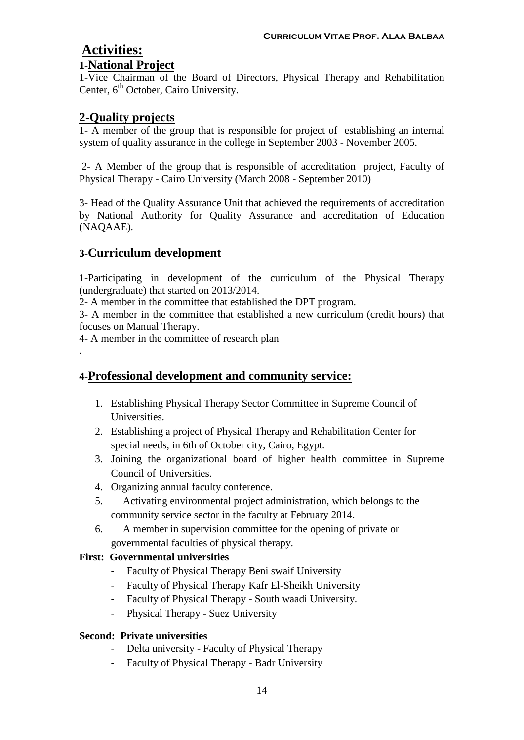## **Activities:**

#### **1-National Project**

1-Vice Chairman of the Board of Directors, Physical Therapy and Rehabilitation Center, 6<sup>th</sup> October, Cairo University.

#### **2-Quality projects**

1- A member of the group that is responsible for project of establishing an internal system of quality assurance in the college in September 2003 - November 2005.

2- A Member of the group that is responsible of accreditation project, Faculty of Physical Therapy - Cairo University (March 2008 - September 2010)

3- Head of the Quality Assurance Unit that achieved the requirements of accreditation by National Authority for Quality Assurance and accreditation of Education (NAQAAE).

### **3-Curriculum development**

.

1-Participating in development of the curriculum of the Physical Therapy (undergraduate) that started on 2013/2014.

2- A member in the committee that established the DPT program.

3- A member in the committee that established a new curriculum (credit hours) that focuses on Manual Therapy.

4- A member in the committee of research plan

### **4-Professional development and community service:**

- 1. Establishing Physical Therapy Sector Committee in Supreme Council of Universities.
- 2. Establishing a project of Physical Therapy and Rehabilitation Center for special needs, in 6th of October city, Cairo, Egypt.
- 3. Joining the organizational board of higher health committee in Supreme Council of Universities.
- 4. Organizing annual faculty conference.
- 5. Activating environmental project administration, which belongs to the community service sector in the faculty at February 2014.
- 6. A member in supervision committee for the opening of private or governmental faculties of physical therapy.

#### **First: Governmental universities**

- Faculty of Physical Therapy Beni swaif University
- Faculty of Physical Therapy Kafr El-Sheikh University
- Faculty of Physical Therapy South waadi University.
- Physical Therapy Suez University

#### **Second: Private universities**

- Delta university Faculty of Physical Therapy
- Faculty of Physical Therapy Badr University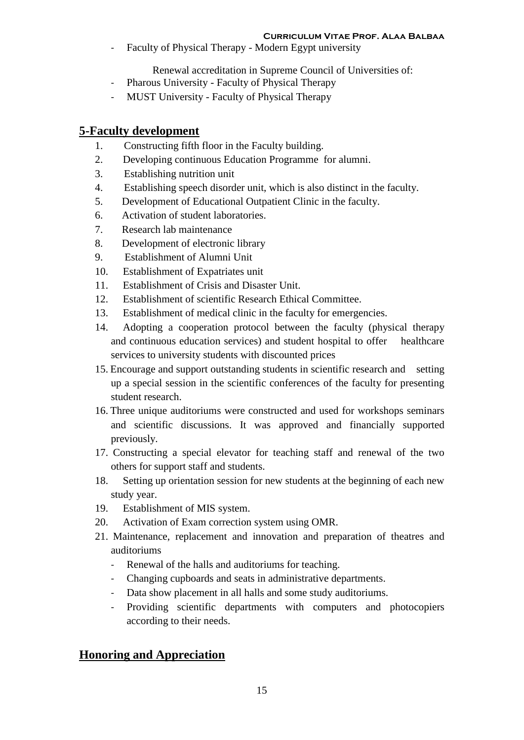Faculty of Physical Therapy - Modern Egypt university

Renewal accreditation in Supreme Council of Universities of:

- Pharous University Faculty of Physical Therapy
- MUST University Faculty of Physical Therapy

### **5-Faculty development**

- 1. Constructing fifth floor in the Faculty building.
- 2. Developing continuous Education Programme for alumni.
- 3. Establishing nutrition unit
- 4. Establishing speech disorder unit, which is also distinct in the faculty.
- 5. Development of Educational Outpatient Clinic in the faculty.
- 6. Activation of student laboratories.
- 7. Research lab maintenance
- 8. Development of electronic library
- 9. Establishment of Alumni Unit
- 10. Establishment of Expatriates unit
- 11. Establishment of Crisis and Disaster Unit.
- 12. Establishment of scientific Research Ethical Committee.
- 13. Establishment of medical clinic in the faculty for emergencies.
- 14. Adopting a cooperation protocol between the faculty (physical therapy and continuous education services) and student hospital to offer healthcare services to university students with discounted prices
- 15. Encourage and support outstanding students in scientific research and setting up a special session in the scientific conferences of the faculty for presenting student research.
- 16. Three unique auditoriums were constructed and used for workshops seminars and scientific discussions. It was approved and financially supported previously.
- 17. Constructing a special elevator for teaching staff and renewal of the two others for support staff and students.
- 18. Setting up orientation session for new students at the beginning of each new study year.
- 19. Establishment of MIS system.
- 20. Activation of Exam correction system using OMR.
- 21. Maintenance, replacement and innovation and preparation of theatres and auditoriums
	- Renewal of the halls and auditoriums for teaching.
	- Changing cupboards and seats in administrative departments.
	- Data show placement in all halls and some study auditoriums.
	- Providing scientific departments with computers and photocopiers according to their needs.

### **Honoring and Appreciation**